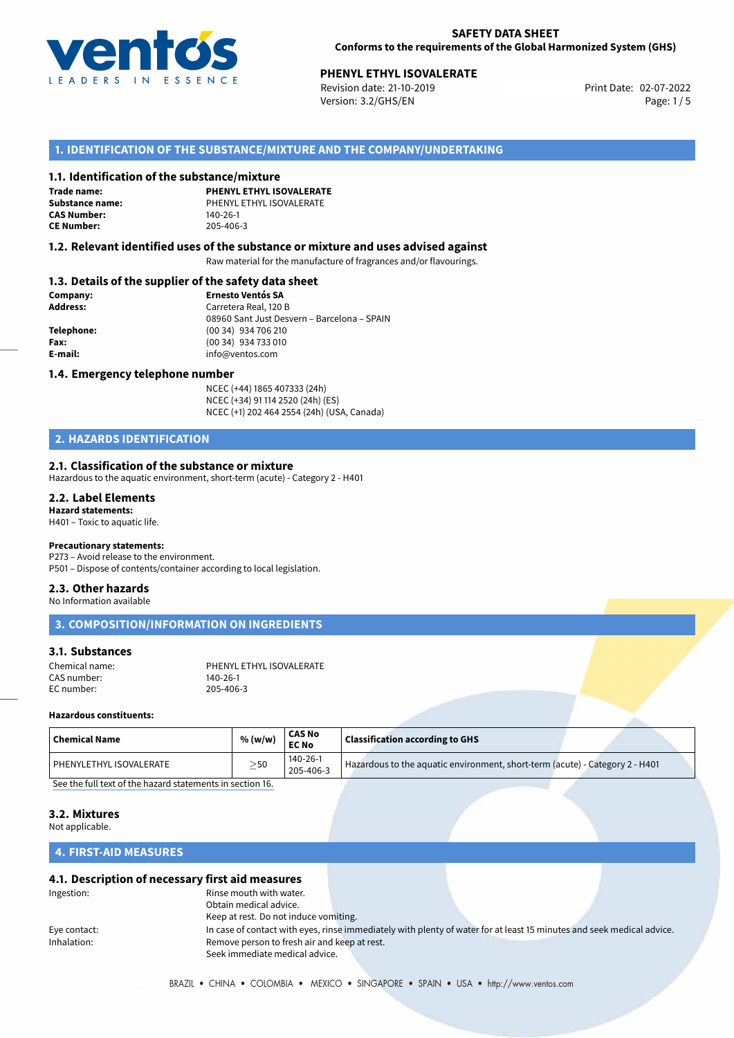

Revision date: 21-10-2019 Version: 3.2/GHS/EN Page: 1/5

## **1. IDENTIFICATION OF THE SUBSTANCE/MIXTURE AND THE COMPANY/UNDERTAKING**

#### **1.1. Identification of the substance/mixture**

**Trade name: CAS Number: CE Number:** 205-406-3

**PHENYL ETHYL ISOVALERATE Substance name:** PHENYL ETHYL ISOVALERATE

#### **1.2. Relevant identified uses of the substance or mixture and uses advised against**

Raw material for the manufacture of fragrances and/or flavourings.

#### **1.3. Details of the supplier of the safety data sheet**

| Company:   | <b>Ernesto Ventós SA</b>                    |
|------------|---------------------------------------------|
| Address:   | Carretera Real, 120 B                       |
|            | 08960 Sant Just Desvern - Barcelona - SPAIN |
| Telephone: | (00 34) 934 706 210                         |
| Fax:       | (00 34) 934 733 010                         |
| E-mail:    | info@ventos.com                             |
|            |                                             |

#### **1.4. Emergency telephone number**

NCEC (+44) 1865 407333 (24h) NCEC (+34) 91 114 2520 (24h) (ES) NCEC (+1) 202 464 2554 (24h) (USA, Canada)

# **2. HAZARDS IDENTIFICATION**

#### **2.1. Classification of the substance or mixture**

Hazardous to the aquatic environment, short-term (acute) - Category 2 - H401

#### **2.2. Label Elements Hazard statements:**

H401 – Toxic to aquatic life.

#### **Precautionary statements:**

P273 – Avoid release to the environment.

# P501 – Dispose of contents/container according to local legislation.

# **2.3. Other hazards**

No Information available

**3. COMPOSITION/INFORMATION ON INGREDIENTS**

## **3.1. Substances**

| Chemical name: | PHENYL ETHYL ISOVALERATE |
|----------------|--------------------------|
| CAS number:    | 140-26-1                 |
| EC number:     | 205-406-3                |

#### **Hazardous constituents:**

| <b>Chemical Name</b>      | % (w/w)   | <b>CAS No</b><br><b>EC No</b> | <b>Classification according to GHS</b>                                       |  |
|---------------------------|-----------|-------------------------------|------------------------------------------------------------------------------|--|
| l PHENYLETHYL ISOVALERATE | $\geq$ 50 | 140-26-1<br>205-406-3         | Hazardous to the aquatic environment, short-term (acute) - Category 2 - H401 |  |

[See the full text of the hazard statements in section 16.](#page--1-0)

#### **3.2. Mixtures**

Not applicable.

## **4. FIRST-AID MEASURES**

#### **4.1. Description of necessary first aid measures**

| Ingestion:   | Rinse mouth with water.                      |                                                                                                                       |  |
|--------------|----------------------------------------------|-----------------------------------------------------------------------------------------------------------------------|--|
|              | Obtain medical advice.                       |                                                                                                                       |  |
|              | Keep at rest. Do not induce vomiting.        |                                                                                                                       |  |
| Eye contact: |                                              | In case of contact with eyes, rinse immediately with plenty of water for at least 15 minutes and seek medical advice. |  |
| Inhalation:  | Remove person to fresh air and keep at rest. |                                                                                                                       |  |
|              | Seek immediate medical advice.               |                                                                                                                       |  |
|              |                                              |                                                                                                                       |  |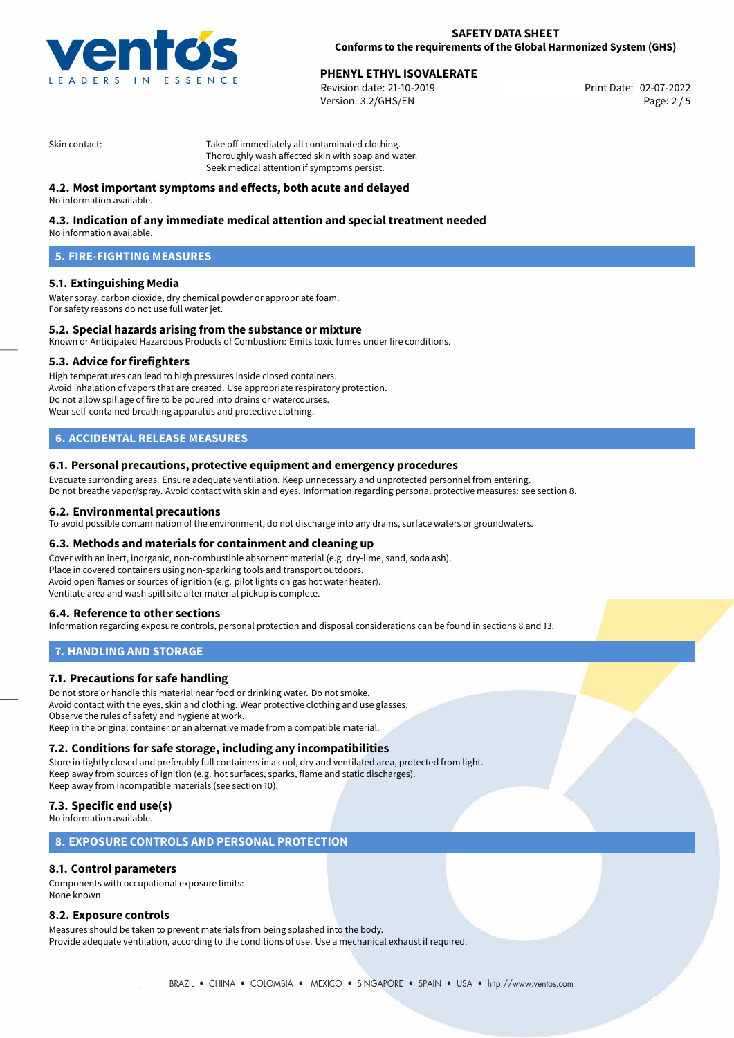

Revision date: 21-10-2019 Version: 3.2/GHS/EN Page: 2 / 5

Skin contact: Take off immediately all contaminated clothing. Thoroughly wash affected skin with soap and water. Seek medical attention if symptoms persist.

# **4.2. Most important symptoms and effects, both acute and delayed**

No information available.

# **4.3. Indication of any immediate medical attention and special treatment needed**

No information available.

# **5. FIRE-FIGHTING MEASURES**

## **5.1. Extinguishing Media**

Water spray, carbon dioxide, dry chemical powder or appropriate foam. For safety reasons do not use full water jet.

#### **5.2. Special hazards arising from the substance or mixture**

Known or Anticipated Hazardous Products of Combustion: Emits toxic fumes under fire conditions.

#### **5.3. Advice for firefighters**

High temperatures can lead to high pressures inside closed containers. Avoid inhalation of vapors that are created. Use appropriate respiratory protection. Do not allow spillage of fire to be poured into drains or watercourses. Wear self-contained breathing apparatus and protective clothing.

# **6. ACCIDENTAL RELEASE MEASURES**

#### **6.1. Personal precautions, protective equipment and emergency procedures**

Evacuate surronding areas. Ensure adequate ventilation. Keep unnecessary and unprotected personnel from entering. Do not breathe vapor/spray. Avoid contact with skin and eyes. Information regarding personal protective measures: see section 8.

#### **6.2. Environmental precautions**

To avoid possible contamination of the environment, do not discharge into any drains, surface waters or groundwaters.

#### **6.3. Methods and materials for containment and cleaning up**

Cover with an inert, inorganic, non-combustible absorbent material (e.g. dry-lime, sand, soda ash). Place in covered containers using non-sparking tools and transport outdoors. Avoid open flames or sources of ignition (e.g. pilot lights on gas hot water heater). Ventilate area and wash spill site after material pickup is complete.

#### **6.4. Reference to other sections**

Information regarding exposure controls, personal protection and disposal considerations can be found in sections 8 and 13.

#### **7. HANDLING AND STORAGE**

#### **7.1. Precautions for safe handling**

Do not store or handle this material near food or drinking water. Do not smoke. Avoid contact with the eyes, skin and clothing. Wear protective clothing and use glasses. Observe the rules of safety and hygiene at work. Keep in the original container or an alternative made from a compatible material.

#### **7.2. Conditions for safe storage, including any incompatibilities**

Store in tightly closed and preferably full containers in a cool, dry and ventilated area, protected from light. Keep away from sources of ignition (e.g. hot surfaces, sparks, flame and static discharges). Keep away from incompatible materials (see section 10).

### **7.3. Specific end use(s)**

No information available.

#### **8. EXPOSURE CONTROLS AND PERSONAL PROTECTION**

## **8.1. Control parameters**

Components with occupational exposure limits: None known.

#### **8.2. Exposure controls**

Measures should be taken to prevent materials from being splashed into the body. Provide adequate ventilation, according to the conditions of use. Use a mechanical exhaust if required.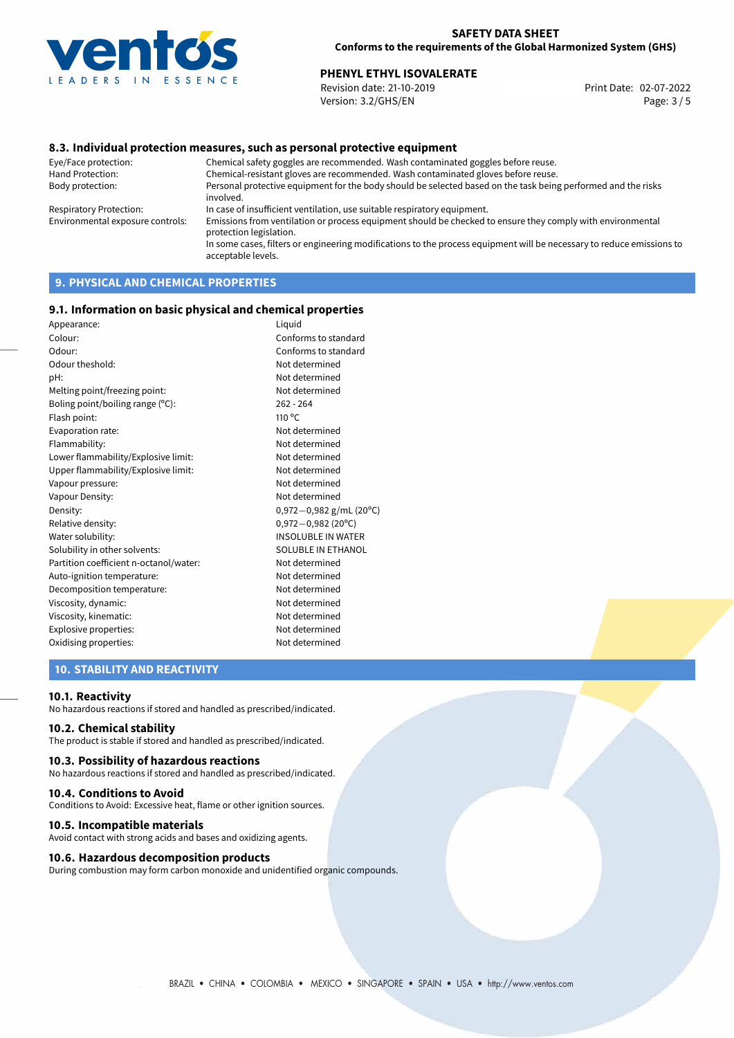

Revision date: 21-10-2019 Version: 3.2/GHS/EN Page: 3 / 5

### **8.3. Individual protection measures, such as personal protective equipment**

Eye/Face protection: Chemical safety goggles are recommended. Wash contaminated goggles before reuse. Chemical-resistant gloves are recommended. Wash contaminated gloves before reuse. Body protection: Personal protective equipment for the body should be selected based on the task being performed and the risks involved. Respiratory Protection: In case of insufficient ventilation, use suitable respiratory equipment. Environmental exposure controls: Emissions from ventilation or process equipment should be checked to ensure they comply with environmental protection legislation. In some cases, filters or engineering modifications to the process equipment will be necessary to reduce emissions to acceptable levels.

# **9. PHYSICAL AND CHEMICAL PROPERTIES**

#### **9.1. Information on basic physical and chemical properties**

| Appearance:                            | Liquid                    |
|----------------------------------------|---------------------------|
| Colour:                                | Conforms to standard      |
| Odour:                                 | Conforms to standard      |
| Odour theshold:                        | Not determined            |
| pH:                                    | Not determined            |
| Melting point/freezing point:          | Not determined            |
| Boling point/boiling range (°C):       | $262 - 264$               |
| Flash point:                           | 110 $\degree$ C           |
| Evaporation rate:                      | Not determined            |
| Flammability:                          | Not determined            |
| Lower flammability/Explosive limit:    | Not determined            |
| Upper flammability/Explosive limit:    | Not determined            |
| Vapour pressure:                       | Not determined            |
| Vapour Density:                        | Not determined            |
| Density:                               | $0,972-0,982$ g/mL (20°C) |
| Relative density:                      | $0,972 - 0,982$ (20°C)    |
| Water solubility:                      | <b>INSOLUBLE IN WATER</b> |
| Solubility in other solvents:          | SOLUBLE IN ETHANOL        |
| Partition coefficient n-octanol/water: | Not determined            |
| Auto-ignition temperature:             | Not determined            |
| Decomposition temperature:             | Not determined            |
| Viscosity, dynamic:                    | Not determined            |
| Viscosity, kinematic:                  | Not determined            |
| Explosive properties:                  | Not determined            |
| Oxidising properties:                  | Not determined            |
|                                        |                           |

# **10. STABILITY AND REACTIVITY**

#### **10.1. Reactivity**

No hazardous reactions if stored and handled as prescribed/indicated.

## **10.2. Chemical stability**

The product is stable if stored and handled as prescribed/indicated.

#### **10.3. Possibility of hazardous reactions**

No hazardous reactions if stored and handled as prescribed/indicated.

#### **10.4. Conditions to Avoid**

Conditions to Avoid: Excessive heat, flame or other ignition sources.

#### **10.5. Incompatible materials**

Avoid contact with strong acids and bases and oxidizing agents.

#### **10.6. Hazardous decomposition products**

During combustion may form carbon monoxide and unidentified organic compounds.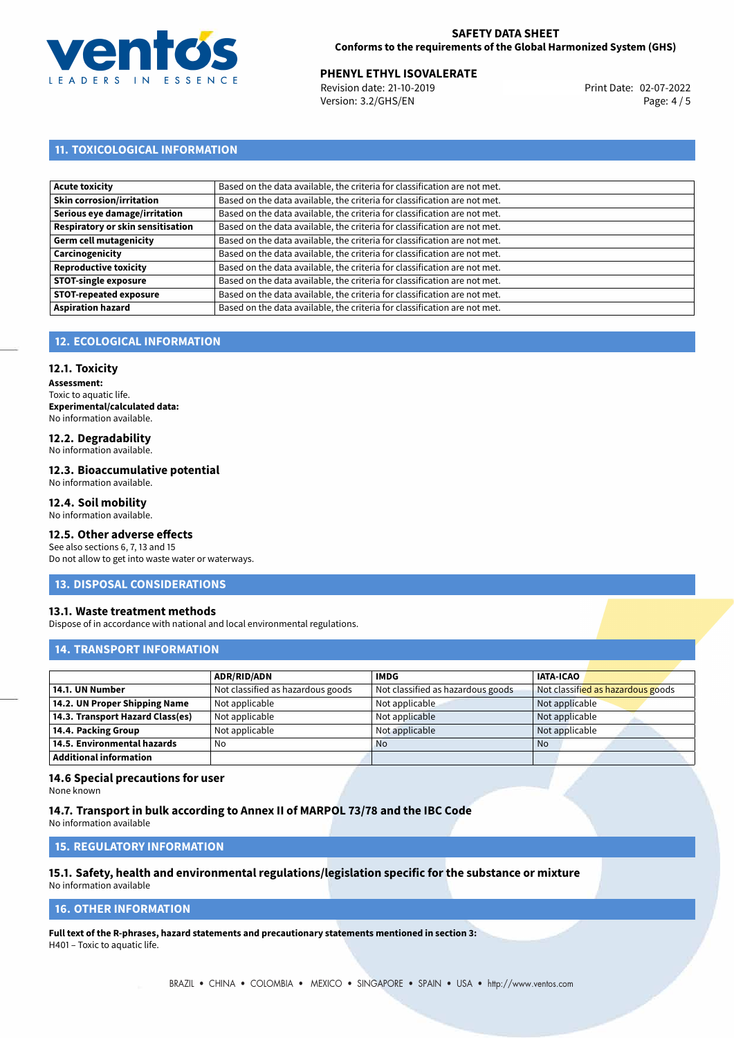

Revision date: 21-10-2019 Version: 3.2/GHS/EN Page: 4 / 5

# **11. TOXICOLOGICAL INFORMATION**

| Based on the data available, the criteria for classification are not met. |
|---------------------------------------------------------------------------|
| Based on the data available, the criteria for classification are not met. |
| Based on the data available, the criteria for classification are not met. |
| Based on the data available, the criteria for classification are not met. |
| Based on the data available, the criteria for classification are not met. |
| Based on the data available, the criteria for classification are not met. |
| Based on the data available, the criteria for classification are not met. |
| Based on the data available, the criteria for classification are not met. |
| Based on the data available, the criteria for classification are not met. |
| Based on the data available, the criteria for classification are not met. |
|                                                                           |

# **12. ECOLOGICAL INFORMATION**

#### **12.1. Toxicity**

**Assessment:** Toxic to aquatic life. **Experimental/calculated data:** No information available.

# **12.2. Degradability**

No information available.

## **12.3. Bioaccumulative potential**

No information available.

# **12.4. Soil mobility**

No information available.

# **12.5. Other adverse effects**

See also sections 6, 7, 13 and 15 Do not allow to get into waste water or waterways.

#### **13. DISPOSAL CONSIDERATIONS**

#### **13.1. Waste treatment methods**

Dispose of in accordance with national and local environmental regulations.

#### **14. TRANSPORT INFORMATION**

|                                  | <b>ADR/RID/ADN</b>                | <b>IMDG</b>                       | <b>IATA-ICAO</b>                  |
|----------------------------------|-----------------------------------|-----------------------------------|-----------------------------------|
| 14.1. UN Number                  | Not classified as hazardous goods | Not classified as hazardous goods | Not classified as hazardous goods |
| 14.2. UN Proper Shipping Name    | Not applicable                    | Not applicable                    | Not applicable                    |
| 14.3. Transport Hazard Class(es) | Not applicable                    | Not applicable                    | Not applicable                    |
| 14.4. Packing Group              | Not applicable                    | Not applicable                    | Not applicable                    |
| 14.5. Environmental hazards      | No                                | <b>No</b>                         | <b>No</b>                         |
| <b>Additional information</b>    |                                   |                                   |                                   |

#### **14.6 Special precautions for user**

None known

#### **14.7. Transport in bulk according to Annex II of MARPOL 73/78 and the IBC Code**

No information available

# **15. REGULATORY INFORMATION**

# **15.1. Safety, health and environmental regulations/legislation specific for the substance or mixture**

No information available

# **16. OTHER INFORMATION**

**Full text of the R-phrases, hazard statements and precautionary statements mentioned in section 3:** H401 – Toxic to aquatic life.